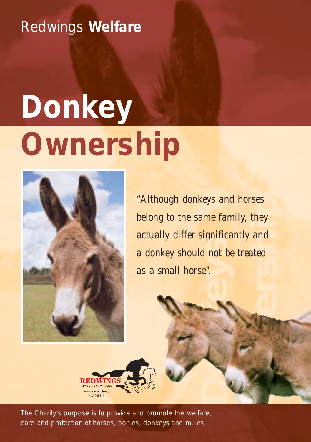# Redwings **Welfare**

# **Donkey Ownership**



**Donation**<br> **Donation**<br> **Donation**<br> **Donation** prses<br>they<br>and<br>eated<br> $\bigcup$ *"Although donkeys and horses belong to the same family, they actually differ significantly and a donkey should not be treated as a small horse".*



*The Charity's purpose is to provide and promote the welfare, care and protection of horses, ponies, donkeys and mules.*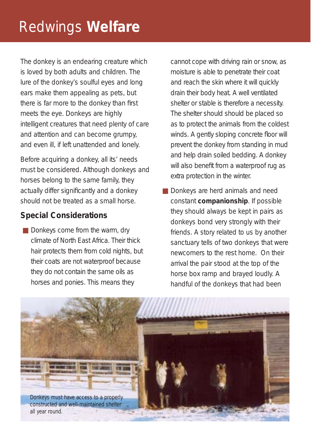# Redwings **Welfare**

The donkey is an endearing creature which is loved by both adults and children. The lure of the donkey's soulful eyes and long ears make them appealing as pets, but there is far more to the donkey than first meets the eye. Donkeys are highly intelligent creatures that need plenty of care and attention and can become grumpy, and even ill, if left unattended and lonely.

Before acquiring a donkey, all its' needs must be considered. Although donkeys and horses belong to the same family, they actually differ significantly and a donkey should not be treated as a small horse.

# **Special Considerations**

■ Donkeys come from the warm, dry climate of North East Africa. Their thick hair protects them from cold nights, but their coats are not waterproof because they do not contain the same oils as horses and ponies. This means they

cannot cope with driving rain or snow, as moisture is able to penetrate their coat and reach the skin where it will quickly drain their body heat. A well ventilated shelter or stable is therefore a necessity. The shelter should should be placed so as to protect the animals from the coldest winds. A gently sloping concrete floor will prevent the donkey from standing in mud and help drain soiled bedding. A donkey will also benefit from a waterproof rug as extra protection in the winter.

■ Donkeys are herd animals and need constant **companionship**. If possible they should always be kept in pairs as donkeys bond very strongly with their friends. A story related to us by another sanctuary tells of two donkeys that were newcomers to the rest home. On their arrival the pair stood at the top of the horse box ramp and brayed loudly. A handful of the donkeys that had been

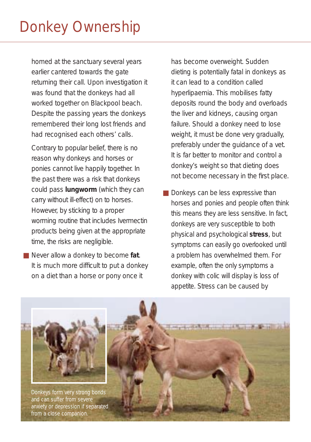homed at the sanctuary several years earlier cantered towards the gate returning their call. Upon investigation it was found that the donkeys had all worked together on Blackpool beach. Despite the passing years the donkeys remembered their long lost friends and had recognised each others' calls.

Contrary to popular belief, there is no reason why donkeys and horses or ponies cannot live happily together. In the past there was a risk that donkeys could pass **lungworm** (which they can carry without ill-effect) on to horses. However, by sticking to a proper worming routine that includes Ivermectin products being given at the appropriate time, the risks are negligible.

■ Never allow a donkey to become **fat**. It is much more difficult to put a donkey on a diet than a horse or pony once it

has become overweight. Sudden dieting is potentially fatal in donkeys as it can lead to a condition called hyperlipaemia. This mobilises fatty deposits round the body and overloads the liver and kidneys, causing organ failure. Should a donkey need to lose weight, it must be done very gradually, preferably under the guidance of a vet. It is far better to monitor and control a donkey's weight so that dieting does not become necessary in the first place.

■ Donkeys can be less expressive than horses and ponies and people often think this means they are less sensitive. In fact, donkeys are very susceptible to both physical and psychological **stress**, but symptoms can easily go overlooked until a problem has overwhelmed them. For example, often the only symptoms a donkey with colic will display is loss of appetite. Stress can be caused by

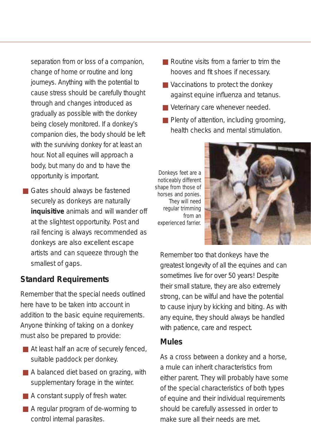separation from or loss of a companion, change of home or routine and long journeys. Anything with the potential to cause stress should be carefully thought through and changes introduced as gradually as possible with the donkey being closely monitored. If a donkey's companion dies, the body should be left with the surviving donkey for at least an hour. Not all equines will approach a body, but many do and to have the opportunity is important.

■ Gates should always be fastened securely as donkeys are naturally **inquisitive** animals and will wander off at the slightest opportunity. Post and rail fencing is always recommended as donkeys are also excellent escape artists and can squeeze through the smallest of gaps.

# **Standard Requirements**

Remember that the special needs outlined here have to be taken into account in addition to the basic equine requirements. Anyone thinking of taking on a donkey must also be prepared to provide:

- At least half an acre of securely fenced, suitable paddock per donkey.
- A balanced diet based on grazing, with supplementary forage in the winter.
- A constant supply of fresh water.
- A regular program of de-worming to control internal parasites.
- Routine visits from a farrier to trim the hooves and fit shoes if necessary.
- Vaccinations to protect the donkey against equine influenza and tetanus.
- Veterinary care whenever needed.
- Plenty of attention, including grooming, health checks and mental stimulation.

*Donkeys feet are a noticeably different shape from those of horses and ponies. They will need regular trimming from an experienced farrier.*



Remember too that donkeys have the greatest longevity of all the equines and can sometimes live for over 50 years! Despite their small stature, they are also extremely strong, can be wilful and have the potential to cause injury by kicking and biting. As with any equine, they should always be handled with patience, care and respect.

## **Mules**

As a cross between a donkey and a horse, a mule can inherit characteristics from either parent. They will probably have some of the special characteristics of both types of equine and their individual requirements should be carefully assessed in order to make sure all their needs are met.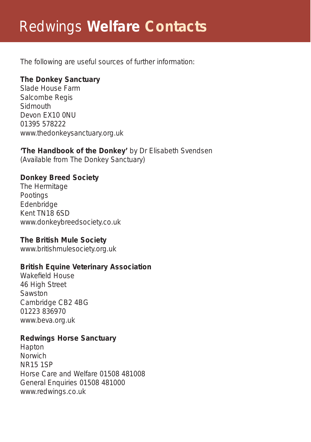# Redwings **Welfare Contacts**

The following are useful sources of further information:

# **The Donkey Sanctuary**

Slade House Farm Salcombe Regis Sidmouth Devon EX10 0NU 01395 578222 www.thedonkeysanctuary.org.uk

#### **'The Handbook of the Donkey'** by Dr Elisabeth Svendsen (Available from The Donkey Sanctuary)

## **Donkey Breed Society**

The Hermitage Pootings Edenbridge Kent TN18 6SD www.donkeybreedsociety.co.uk

## **The British Mule Society**

www.britishmulesociety.org.uk

## **British Equine Veterinary Association**

Wakefield House 46 High Street **Sawston** Cambridge CB2 4BG 01223 836970 www.beva.org.uk

## **Redwings Horse Sanctuary**

Hapton Norwich NR15 1SP Horse Care and Welfare 01508 481008 General Enquiries 01508 481000 www.redwings.co.uk